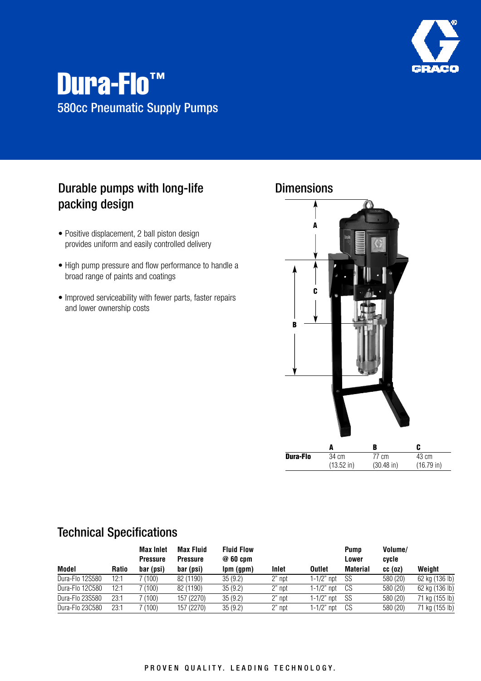

# Dura-Flo™ 580cc Pneumatic Supply Pumps

## Durable pumps with long-life packing design

- Positive displacement, 2 ball piston design provides uniform and easily controlled delivery
- High pump pressure and flow performance to handle a broad range of paints and coatings
- Improved serviceability with fewer parts, faster repairs and lower ownership costs



| Model           | <b>Ratio</b> | <b>Max Inlet</b><br><b>Pressure</b><br>bar (psi) | <b>Max Fluid</b><br><b>Pressure</b><br>bar (psi) | <b>Fluid Flow</b><br>@60cm<br>lpm (gpm) | Inlet  | <b>Outlet</b> | <b>Pump</b><br>Lower<br><b>Material</b> | Volume/<br>cycle<br>$cc$ (oz) | Weight         |
|-----------------|--------------|--------------------------------------------------|--------------------------------------------------|-----------------------------------------|--------|---------------|-----------------------------------------|-------------------------------|----------------|
| Dura-Flo 12S580 | 12:1         | $^{\prime}$ (100)                                | 82 (1190)                                        | 35(9.2)                                 | 2" npt | 1-1/2" npt    | SS                                      | 580 (20)                      | 62 kg (136 lb) |
| Dura-Flo 12C580 | 12:1         | ' (100)                                          | 82 (1190)                                        | 35(9.2)                                 | 2" npt | 1-1/2" npt    | CS                                      | 580 (20)                      | 62 kg (136 lb) |
| Dura-Flo 23S580 | 23:1         | 7 (100)                                          | 157 (2270)                                       | 35(9.2)                                 | 2" npt | $1-1/2"$ npt  | SS                                      | 580 (20)                      | 71 kg (155 lb) |
| Dura-Flo 23C580 | 23:1         | 7 (100)                                          | 157 (2270)                                       | 35(9.2)                                 | 2" npt | 1-1/2" npt    | CS                                      | 580 (20)                      | 71 kg (155 lb) |

### Technical Specifications